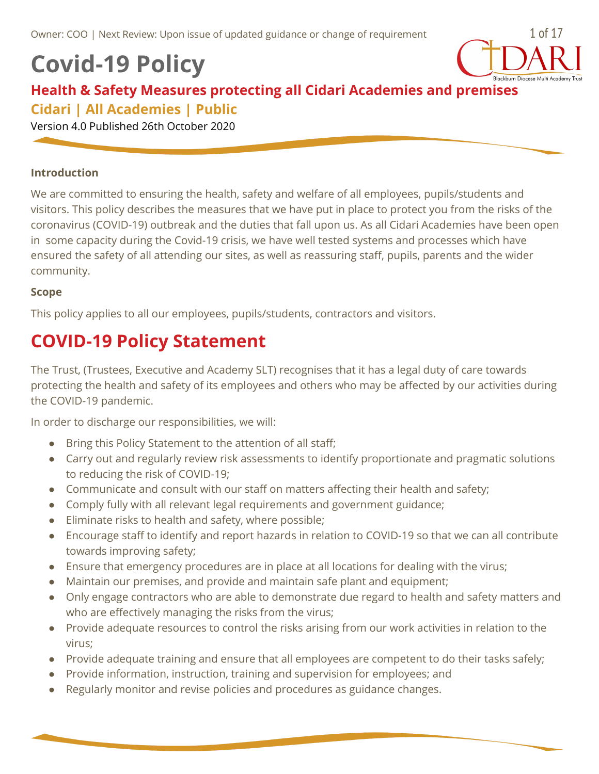# **Covid-19 Policy**



### **Health & Safety Measures protecting all Cidari Academies and premises Cidari | All Academies | Public**

Version 4.0 Published 26th October 2020

#### **Introduction**

We are committed to ensuring the health, safety and welfare of all employees, pupils/students and visitors. This policy describes the measures that we have put in place to protect you from the risks of the coronavirus (COVID-19) outbreak and the duties that fall upon us. As all Cidari Academies have been open in some capacity during the Covid-19 crisis, we have well tested systems and processes which have ensured the safety of all attending our sites, as well as reassuring staff, pupils, parents and the wider community.

#### **Scope**

This policy applies to all our employees, pupils/students, contractors and visitors.

## **COVID-19 Policy Statement**

The Trust, (Trustees, Executive and Academy SLT) recognises that it has a legal duty of care towards protecting the health and safety of its employees and others who may be affected by our activities during the COVID-19 pandemic.

In order to discharge our responsibilities, we will:

- Bring this Policy Statement to the attention of all staff;
- Carry out and regularly review risk assessments to identify proportionate and pragmatic solutions to reducing the risk of COVID-19;
- Communicate and consult with our staff on matters affecting their health and safety;
- Comply fully with all relevant legal requirements and government guidance;
- Eliminate risks to health and safety, where possible;
- Encourage staff to identify and report hazards in relation to COVID-19 so that we can all contribute towards improving safety;
- Ensure that emergency procedures are in place at all locations for dealing with the virus;
- Maintain our premises, and provide and maintain safe plant and equipment;
- Only engage contractors who are able to demonstrate due regard to health and safety matters and who are effectively managing the risks from the virus;
- Provide adequate resources to control the risks arising from our work activities in relation to the virus;
- Provide adequate training and ensure that all employees are competent to do their tasks safely;
- Provide information, instruction, training and supervision for employees; and
- Regularly monitor and revise policies and procedures as guidance changes.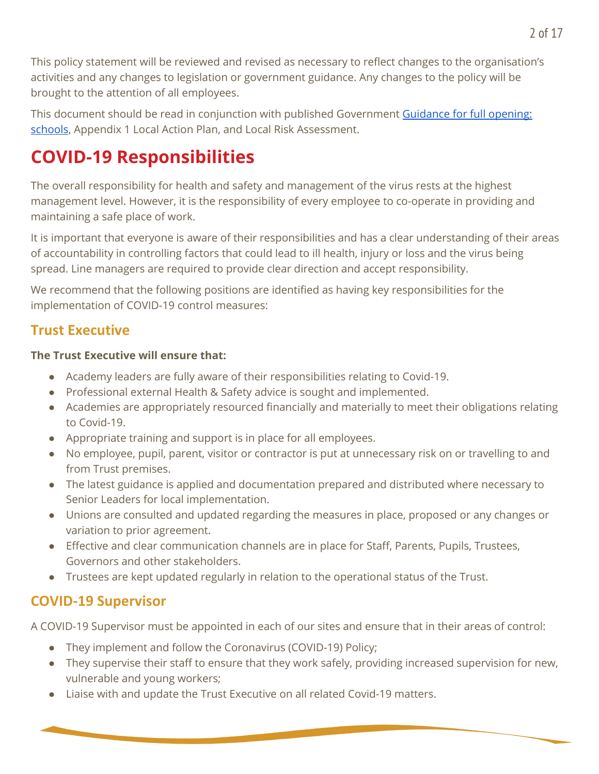This policy statement will be reviewed and revised as necessary to reflect changes to the organisation's activities and any changes to legislation or government guidance. Any changes to the policy will be brought to the attention of all employees.

This document should be read in conjunction with published Government [Guidance](https://www.gov.uk/government/publications/actions-for-schools-during-the-coronavirus-outbreak/guidance-for-full-opening-schools) for full opening: [schools](https://www.gov.uk/government/publications/actions-for-schools-during-the-coronavirus-outbreak/guidance-for-full-opening-schools), Appendix 1 Local Action Plan, and Local Risk Assessment.

## **COVID-19 Responsibilities**

The overall responsibility for health and safety and management of the virus rests at the highest management level. However, it is the responsibility of every employee to co-operate in providing and maintaining a safe place of work.

It is important that everyone is aware of their responsibilities and has a clear understanding of their areas of accountability in controlling factors that could lead to ill health, injury or loss and the virus being spread. Line managers are required to provide clear direction and accept responsibility.

We recommend that the following positions are identified as having key responsibilities for the implementation of COVID-19 control measures:

### **Trust Executive**

### **The Trust Executive will ensure that:**

- Academy leaders are fully aware of their responsibilities relating to Covid-19.
- Professional external Health & Safety advice is sought and implemented.
- Academies are appropriately resourced financially and materially to meet their obligations relating to Covid-19.
- Appropriate training and support is in place for all employees.
- No employee, pupil, parent, visitor or contractor is put at unnecessary risk on or travelling to and from Trust premises.
- The latest guidance is applied and documentation prepared and distributed where necessary to Senior Leaders for local implementation.
- Unions are consulted and updated regarding the measures in place, proposed or any changes or variation to prior agreement.
- Effective and clear communication channels are in place for Staff, Parents, Pupils, Trustees, Governors and other stakeholders.
- Trustees are kept updated regularly in relation to the operational status of the Trust.

## **COVID-19 Supervisor**

A COVID-19 Supervisor must be appointed in each of our sites and ensure that in their areas of control:

- They implement and follow the Coronavirus (COVID-19) Policy;
- They supervise their staff to ensure that they work safely, providing increased supervision for new, vulnerable and young workers;
- Liaise with and update the Trust Executive on all related Covid-19 matters.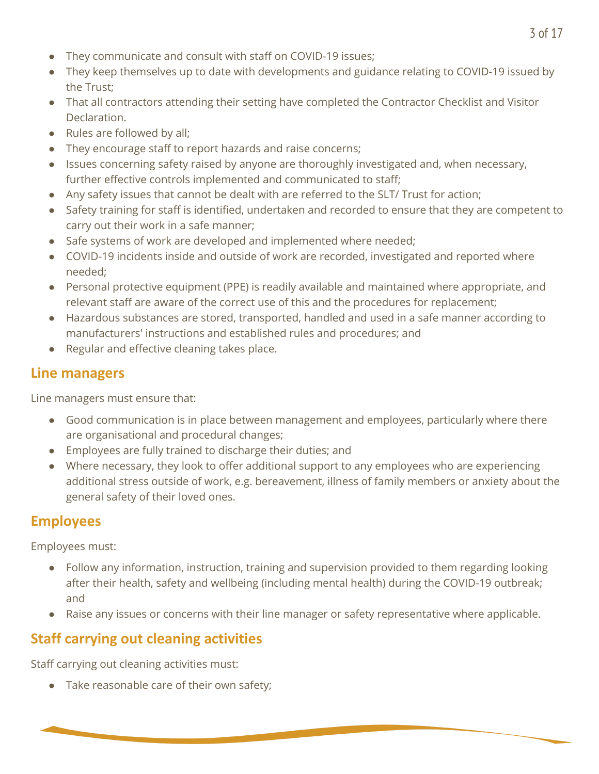- They communicate and consult with staff on COVID-19 issues;
- They keep themselves up to date with developments and guidance relating to COVID-19 issued by the Trust;
- That all contractors attending their setting have completed the Contractor Checklist and Visitor Declaration.
- Rules are followed by all;
- They encourage staff to report hazards and raise concerns;
- Issues concerning safety raised by anyone are thoroughly investigated and, when necessary, further effective controls implemented and communicated to staff;
- Any safety issues that cannot be dealt with are referred to the SLT/ Trust for action;
- Safety training for staff is identified, undertaken and recorded to ensure that they are competent to carry out their work in a safe manner;
- Safe systems of work are developed and implemented where needed;
- COVID-19 incidents inside and outside of work are recorded, investigated and reported where needed;
- Personal protective equipment (PPE) is readily available and maintained where appropriate, and relevant staff are aware of the correct use of this and the procedures for replacement;
- Hazardous substances are stored, transported, handled and used in a safe manner according to manufacturers' instructions and established rules and procedures; and
- Regular and effective cleaning takes place.

## **Line managers**

Line managers must ensure that:

- Good communication is in place between management and employees, particularly where there are organisational and procedural changes;
- Employees are fully trained to discharge their duties; and
- Where necessary, they look to offer additional support to any employees who are experiencing additional stress outside of work, e.g. bereavement, illness of family members or anxiety about the general safety of their loved ones.

## **Employees**

Employees must:

- Follow any information, instruction, training and supervision provided to them regarding looking after their health, safety and wellbeing (including mental health) during the COVID-19 outbreak; and
- Raise any issues or concerns with their line manager or safety representative where applicable.

## **Staff carrying out cleaning activities**

Staff carrying out cleaning activities must:

• Take reasonable care of their own safety;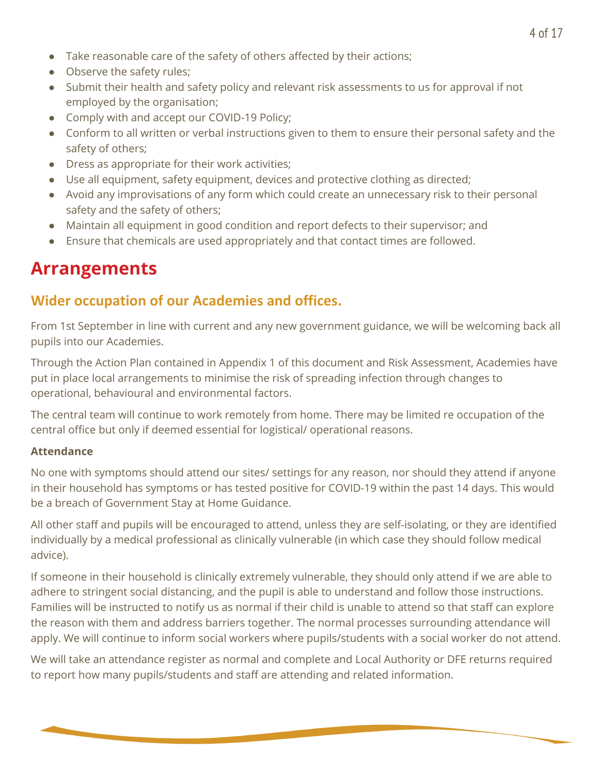- Take reasonable care of the safety of others affected by their actions;
- Observe the safety rules:
- Submit their health and safety policy and relevant risk assessments to us for approval if not employed by the organisation;
- Comply with and accept our COVID-19 Policy;
- Conform to all written or verbal instructions given to them to ensure their personal safety and the safety of others;
- Dress as appropriate for their work activities;
- Use all equipment, safety equipment, devices and protective clothing as directed;
- Avoid any improvisations of any form which could create an unnecessary risk to their personal safety and the safety of others;
- Maintain all equipment in good condition and report defects to their supervisor; and
- Ensure that chemicals are used appropriately and that contact times are followed.

## **Arrangements**

### **Wider occupation of our Academies and offices.**

From 1st September in line with current and any new government guidance, we will be welcoming back all pupils into our Academies.

Through the Action Plan contained in Appendix 1 of this document and Risk Assessment, Academies have put in place local arrangements to minimise the risk of spreading infection through changes to operational, behavioural and environmental factors.

The central team will continue to work remotely from home. There may be limited re occupation of the central office but only if deemed essential for logistical/ operational reasons.

### **Attendance**

No one with symptoms should attend our sites/ settings for any reason, nor should they attend if anyone in their household has symptoms or has tested positive for COVID-19 within the past 14 days. This would be a breach of Government Stay at Home Guidance.

All other staff and pupils will be encouraged to attend, unless they are self-isolating, or they are identified individually by a medical professional as clinically vulnerable (in which case they should follow medical advice).

If someone in their household is clinically extremely vulnerable, they should only attend if we are able to adhere to stringent social distancing, and the pupil is able to understand and follow those instructions. Families will be instructed to notify us as normal if their child is unable to attend so that staff can explore the reason with them and address barriers together. The normal processes surrounding attendance will apply. We will continue to inform social workers where pupils/students with a social worker do not attend.

We will take an attendance register as normal and complete and Local Authority or DFE returns required to report how many pupils/students and staff are attending and related information.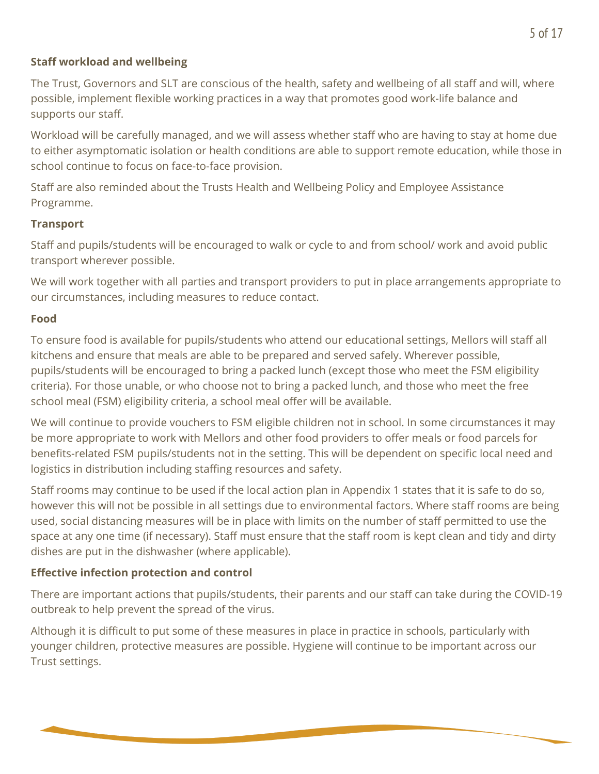### **Staff workload and wellbeing**

The Trust, Governors and SLT are conscious of the health, safety and wellbeing of all staff and will, where possible, implement flexible working practices in a way that promotes good work-life balance and supports our staff.

Workload will be carefully managed, and we will assess whether staff who are having to stay at home due to either asymptomatic isolation or health conditions are able to support remote education, while those in school continue to focus on face-to-face provision.

Staff are also reminded about the Trusts Health and Wellbeing Policy and Employee Assistance Programme.

### **Transport**

Staff and pupils/students will be encouraged to walk or cycle to and from school/ work and avoid public transport wherever possible.

We will work together with all parties and transport providers to put in place arrangements appropriate to our circumstances, including measures to reduce contact.

### **Food**

To ensure food is available for pupils/students who attend our educational settings, Mellors will staff all kitchens and ensure that meals are able to be prepared and served safely. Wherever possible, pupils/students will be encouraged to bring a packed lunch (except those who meet the FSM eligibility criteria). For those unable, or who choose not to bring a packed lunch, and those who meet the free school meal (FSM) eligibility criteria, a school meal offer will be available.

We will continue to provide vouchers to FSM eligible children not in school. In some circumstances it may be more appropriate to work with Mellors and other food providers to offer meals or food parcels for benefits-related FSM pupils/students not in the setting. This will be dependent on specific local need and logistics in distribution including staffing resources and safety.

Staff rooms may continue to be used if the local action plan in Appendix 1 states that it is safe to do so, however this will not be possible in all settings due to environmental factors. Where staff rooms are being used, social distancing measures will be in place with limits on the number of staff permitted to use the space at any one time (if necessary). Staff must ensure that the staff room is kept clean and tidy and dirty dishes are put in the dishwasher (where applicable).

### **Effective infection protection and control**

There are important actions that pupils/students, their parents and our staff can take during the COVID-19 outbreak to help prevent the spread of the virus.

Although it is difficult to put some of these measures in place in practice in schools, particularly with younger children, protective measures are possible. Hygiene will continue to be important across our Trust settings.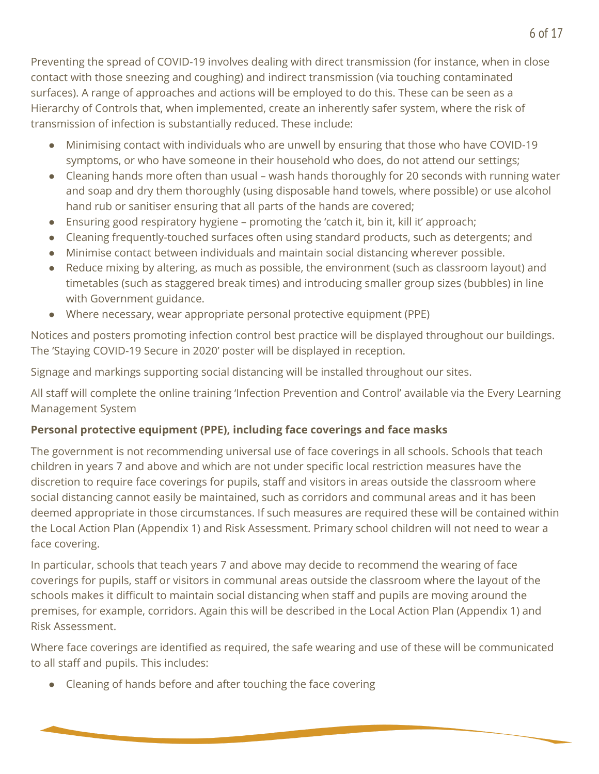Preventing the spread of COVID-19 involves dealing with direct transmission (for instance, when in close contact with those sneezing and coughing) and indirect transmission (via touching contaminated surfaces). A range of approaches and actions will be employed to do this. These can be seen as a Hierarchy of Controls that, when implemented, create an inherently safer system, where the risk of transmission of infection is substantially reduced. These include:

- Minimising contact with individuals who are unwell by ensuring that those who have COVID-19 symptoms, or who have someone in their household who does, do not attend our settings;
- Cleaning hands more often than usual wash hands thoroughly for 20 seconds with running water and soap and dry them thoroughly (using disposable hand towels, where possible) or use alcohol hand rub or sanitiser ensuring that all parts of the hands are covered;
- $\bullet$  Ensuring good respiratory hygiene promoting the 'catch it, bin it, kill it' approach;
- Cleaning frequently-touched surfaces often using standard products, such as detergents; and
- Minimise contact between individuals and maintain social distancing wherever possible.
- Reduce mixing by altering, as much as possible, the environment (such as classroom layout) and timetables (such as staggered break times) and introducing smaller group sizes (bubbles) in line with Government guidance.
- Where necessary, wear appropriate personal protective equipment (PPE)

Notices and posters promoting infection control best practice will be displayed throughout our buildings. The 'Staying COVID-19 Secure in 2020' poster will be displayed in reception.

Signage and markings supporting social distancing will be installed throughout our sites.

All staff will complete the online training 'Infection Prevention and Control' available via the Every Learning Management System

### **Personal protective equipment (PPE), including face coverings and face masks**

The government is not recommending universal use of face coverings in all schools. Schools that teach children in years 7 and above and which are not under specific local restriction measures have the discretion to require face coverings for pupils, staff and visitors in areas outside the classroom where social distancing cannot easily be maintained, such as corridors and communal areas and it has been deemed appropriate in those circumstances. If such measures are required these will be contained within the Local Action Plan (Appendix 1) and Risk Assessment. Primary school children will not need to wear a face covering.

In particular, schools that teach years 7 and above may decide to recommend the wearing of face coverings for pupils, staff or visitors in communal areas outside the classroom where the layout of the schools makes it difficult to maintain social distancing when staff and pupils are moving around the premises, for example, corridors. Again this will be described in the Local Action Plan (Appendix 1) and Risk Assessment.

Where face coverings are identified as required, the safe wearing and use of these will be communicated to all staff and pupils. This includes:

● Cleaning of hands before and after touching the face covering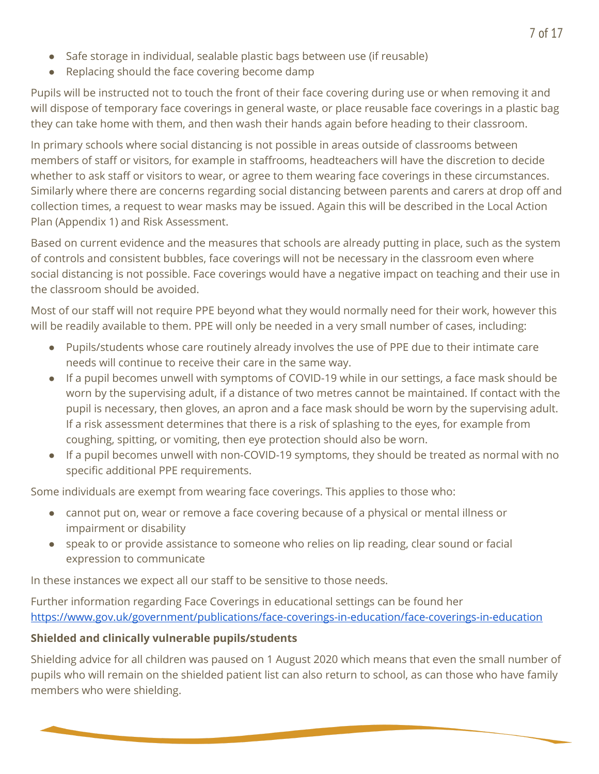- Safe storage in individual, sealable plastic bags between use (if reusable)
- Replacing should the face covering become damp

Pupils will be instructed not to touch the front of their face covering during use or when removing it and will dispose of temporary face coverings in general waste, or place reusable face coverings in a plastic bag they can take home with them, and then wash their hands again before heading to their classroom.

In primary schools where social distancing is not possible in areas outside of classrooms between members of staff or visitors, for example in staffrooms, headteachers will have the discretion to decide whether to ask staff or visitors to wear, or agree to them wearing face coverings in these circumstances. Similarly where there are concerns regarding social distancing between parents and carers at drop off and collection times, a request to wear masks may be issued. Again this will be described in the Local Action Plan (Appendix 1) and Risk Assessment.

Based on current evidence and the measures that schools are already putting in place, such as the system of controls and consistent bubbles, face coverings will not be necessary in the classroom even where social distancing is not possible. Face coverings would have a negative impact on teaching and their use in the classroom should be avoided.

Most of our staff will not require PPE beyond what they would normally need for their work, however this will be readily available to them. PPE will only be needed in a very small number of cases, including:

- Pupils/students whose care routinely already involves the use of PPE due to their intimate care needs will continue to receive their care in the same way.
- If a pupil becomes unwell with symptoms of COVID-19 while in our settings, a face mask should be worn by the supervising adult, if a distance of two metres cannot be maintained. If contact with the pupil is necessary, then gloves, an apron and a face mask should be worn by the supervising adult. If a risk assessment determines that there is a risk of splashing to the eyes, for example from coughing, spitting, or vomiting, then eye protection should also be worn.
- If a pupil becomes unwell with non-COVID-19 symptoms, they should be treated as normal with no specific additional PPE requirements.

Some individuals are exempt from wearing face coverings. This applies to those who:

- cannot put on, wear or remove a face covering because of a physical or mental illness or impairment or disability
- speak to or provide assistance to someone who relies on lip reading, clear sound or facial expression to communicate

In these instances we expect all our staff to be sensitive to those needs.

Further information regarding Face Coverings in educational settings can be found her <https://www.gov.uk/government/publications/face-coverings-in-education/face-coverings-in-education>

### **Shielded and clinically vulnerable pupils/students**

Shielding advice for all children was paused on 1 August 2020 which means that even the small number of pupils who will remain on the shielded patient list can also return to school, as can those who have family members who were shielding.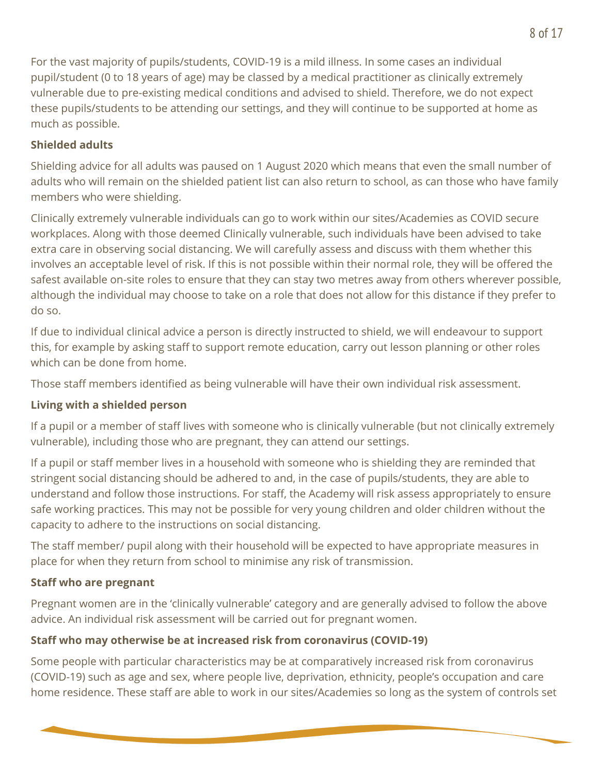For the vast majority of pupils/students, COVID-19 is a mild illness. In some cases an individual pupil/student (0 to 18 years of age) may be classed by a medical practitioner as clinically extremely vulnerable due to pre-existing medical conditions and advised to shield. Therefore, we do not expect these pupils/students to be attending our settings, and they will continue to be supported at home as much as possible.

### **Shielded adults**

Shielding advice for all adults was paused on 1 August 2020 which means that even the small number of adults who will remain on the shielded patient list can also return to school, as can those who have family members who were shielding.

Clinically extremely vulnerable individuals can go to work within our sites/Academies as COVID secure workplaces. Along with those deemed Clinically vulnerable, such individuals have been advised to take extra care in observing social distancing. We will carefully assess and discuss with them whether this involves an acceptable level of risk. If this is not possible within their normal role, they will be offered the safest available on-site roles to ensure that they can stay two metres away from others wherever possible, although the individual may choose to take on a role that does not allow for this distance if they prefer to do so.

If due to individual clinical advice a person is directly instructed to shield, we will endeavour to support this, for example by asking staff to support remote education, carry out lesson planning or other roles which can be done from home.

Those staff members identified as being vulnerable will have their own individual risk assessment.

### **Living with a shielded person**

If a pupil or a member of staff lives with someone who is clinically vulnerable (but not clinically extremely vulnerable), including those who are pregnant, they can attend our settings.

If a pupil or staff member lives in a household with someone who is shielding they are reminded that stringent social distancing should be adhered to and, in the case of pupils/students, they are able to understand and follow those instructions. For staff, the Academy will risk assess appropriately to ensure safe working practices. This may not be possible for very young children and older children without the capacity to adhere to the instructions on social distancing.

The staff member/ pupil along with their household will be expected to have appropriate measures in place for when they return from school to minimise any risk of transmission.

### **Staff who are pregnant**

Pregnant women are in the 'clinically vulnerable' category and are generally advised to follow the above advice. An individual risk assessment will be carried out for pregnant women.

### **Staff who may otherwise be at increased risk from coronavirus (COVID-19)**

Some people with particular characteristics may be at comparatively increased risk from coronavirus (COVID-19) such as age and sex, where people live, deprivation, ethnicity, people's occupation and care home residence. These staff are able to work in our sites/Academies so long as the system of controls set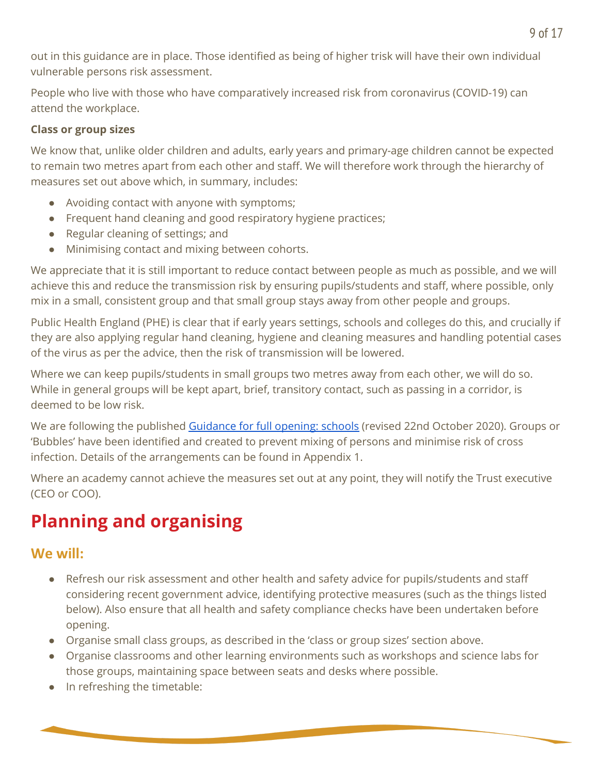out in this guidance are in place. Those identified as being of higher trisk will have their own individual vulnerable persons risk assessment.

People who live with those who have comparatively increased risk from coronavirus (COVID-19) can attend the workplace.

### **Class or group sizes**

We know that, unlike older children and adults, early years and primary-age children cannot be expected to remain two metres apart from each other and staff. We will therefore work through the hierarchy of measures set out above which, in summary, includes:

- Avoiding contact with anyone with symptoms;
- Frequent hand cleaning and good respiratory hygiene practices;
- Regular cleaning of settings; and
- Minimising contact and mixing between cohorts.

We appreciate that it is still important to reduce contact between people as much as possible, and we will achieve this and reduce the transmission risk by ensuring pupils/students and staff, where possible, only mix in a small, consistent group and that small group stays away from other people and groups.

Public Health England (PHE) is clear that if early years settings, schools and colleges do this, and crucially if they are also applying regular hand cleaning, hygiene and cleaning measures and handling potential cases of the virus as per the advice, then the risk of transmission will be lowered.

Where we can keep pupils/students in small groups two metres away from each other, we will do so. While in general groups will be kept apart, brief, transitory contact, such as passing in a corridor, is deemed to be low risk.

We are following the published [Guidance](https://www.gov.uk/government/publications/actions-for-schools-during-the-coronavirus-outbreak/guidance-for-full-opening-schools) for full opening: schools (revised 22nd October 2020). Groups or 'Bubbles' have been identified and created to prevent mixing of persons and minimise risk of cross infection. Details of the arrangements can be found in Appendix 1.

Where an academy cannot achieve the measures set out at any point, they will notify the Trust executive (CEO or COO).

## **Planning and organising**

### **We will:**

- Refresh our risk assessment and other health and safety advice for pupils/students and staff considering recent government advice, identifying protective measures (such as the things listed below). Also ensure that all health and safety compliance checks have been undertaken before opening.
- Organise small class groups, as described in the 'class or group sizes' section above.
- Organise classrooms and other learning environments such as workshops and science labs for those groups, maintaining space between seats and desks where possible.
- In refreshing the timetable: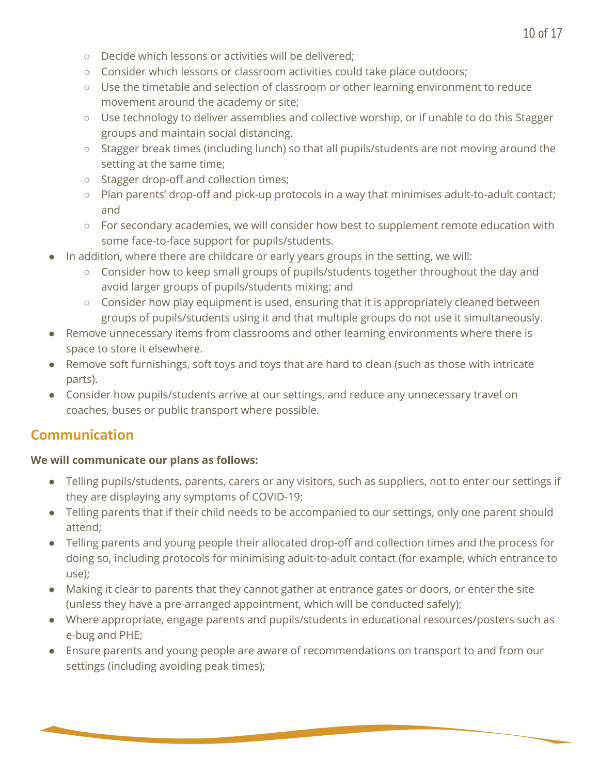- Decide which lessons or activities will be delivered;
- Consider which lessons or classroom activities could take place outdoors;
- Use the timetable and selection of classroom or other learning environment to reduce movement around the academy or site;
- Use technology to deliver assemblies and collective worship, or if unable to do this Stagger groups and maintain social distancing.
- Stagger break times (including lunch) so that all pupils/students are not moving around the setting at the same time;
- Stagger drop-off and collection times;
- Plan parents' drop-off and pick-up protocols in a way that minimises adult-to-adult contact; and
- For secondary academies, we will consider how best to supplement remote education with some face-to-face support for pupils/students.
- In addition, where there are childcare or early years groups in the setting, we will:
	- Consider how to keep small groups of pupils/students together throughout the day and avoid larger groups of pupils/students mixing; and
	- $\circ$  Consider how play equipment is used, ensuring that it is appropriately cleaned between groups of pupils/students using it and that multiple groups do not use it simultaneously.
- Remove unnecessary items from classrooms and other learning environments where there is space to store it elsewhere.
- Remove soft furnishings, soft toys and toys that are hard to clean (such as those with intricate parts).
- Consider how pupils/students arrive at our settings, and reduce any unnecessary travel on coaches, buses or public transport where possible.

## **Communication**

### **We will communicate our plans as follows:**

- Telling pupils/students, parents, carers or any visitors, such as suppliers, not to enter our settings if they are displaying any symptoms of COVID-19;
- Telling parents that if their child needs to be accompanied to our settings, only one parent should attend;
- Telling parents and young people their allocated drop-off and collection times and the process for doing so, including protocols for minimising adult-to-adult contact (for example, which entrance to use);
- Making it clear to parents that they cannot gather at entrance gates or doors, or enter the site (unless they have a pre-arranged appointment, which will be conducted safely);
- Where appropriate, engage parents and pupils/students in educational resources/posters such as e-bug and PHE;
- Ensure parents and young people are aware of recommendations on transport to and from our settings (including avoiding peak times);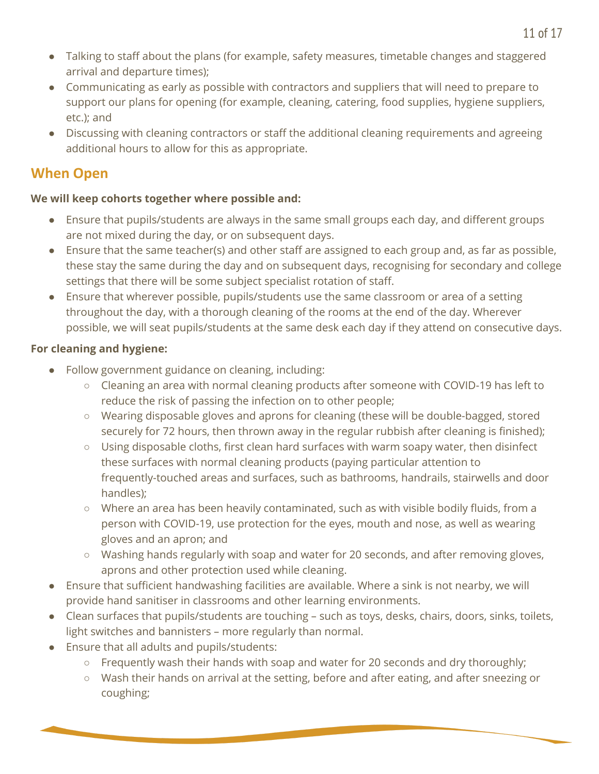- Talking to staff about the plans (for example, safety measures, timetable changes and staggered arrival and departure times);
- Communicating as early as possible with contractors and suppliers that will need to prepare to support our plans for opening (for example, cleaning, catering, food supplies, hygiene suppliers, etc.); and
- Discussing with cleaning contractors or staff the additional cleaning requirements and agreeing additional hours to allow for this as appropriate.

### **When Open**

### **We will keep cohorts together where possible and:**

- Ensure that pupils/students are always in the same small groups each day, and different groups are not mixed during the day, or on subsequent days.
- Ensure that the same teacher(s) and other staff are assigned to each group and, as far as possible, these stay the same during the day and on subsequent days, recognising for secondary and college settings that there will be some subject specialist rotation of staff.
- Ensure that wherever possible, pupils/students use the same classroom or area of a setting throughout the day, with a thorough cleaning of the rooms at the end of the day. Wherever possible, we will seat pupils/students at the same desk each day if they attend on consecutive days.

### **For cleaning and hygiene:**

- Follow government guidance on cleaning, including:
	- Cleaning an area with normal cleaning products after someone with COVID-19 has left to reduce the risk of passing the infection on to other people;
	- Wearing disposable gloves and aprons for cleaning (these will be double-bagged, stored securely for 72 hours, then thrown away in the regular rubbish after cleaning is finished);
	- $\circ$  Using disposable cloths, first clean hard surfaces with warm soapy water, then disinfect these surfaces with normal cleaning products (paying particular attention to frequently-touched areas and surfaces, such as bathrooms, handrails, stairwells and door handles);
	- Where an area has been heavily contaminated, such as with visible bodily fluids, from a person with COVID-19, use protection for the eyes, mouth and nose, as well as wearing gloves and an apron; and
	- Washing hands regularly with soap and water for 20 seconds, and after removing gloves, aprons and other protection used while cleaning.
- Ensure that sufficient handwashing facilities are available. Where a sink is not nearby, we will provide hand sanitiser in classrooms and other learning environments.
- Clean surfaces that pupils/students are touching such as toys, desks, chairs, doors, sinks, toilets, light switches and bannisters – more regularly than normal.
- Ensure that all adults and pupils/students:
	- $\circ$  Frequently wash their hands with soap and water for 20 seconds and dry thoroughly;
	- Wash their hands on arrival at the setting, before and after eating, and after sneezing or coughing;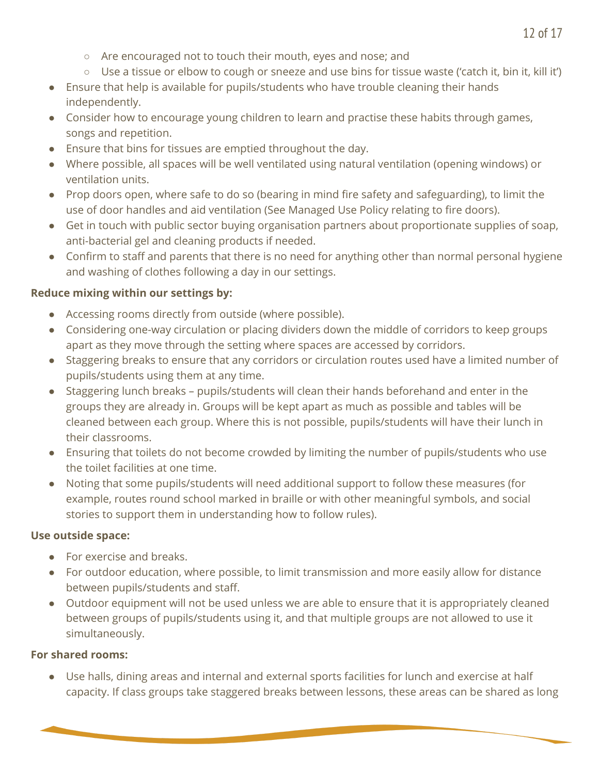- Are encouraged not to touch their mouth, eyes and nose; and
- $\circ$  Use a tissue or elbow to cough or sneeze and use bins for tissue waste ('catch it, bin it, kill it')
- Ensure that help is available for pupils/students who have trouble cleaning their hands independently.
- Consider how to encourage young children to learn and practise these habits through games, songs and repetition.
- Ensure that bins for tissues are emptied throughout the day.
- Where possible, all spaces will be well ventilated using natural ventilation (opening windows) or ventilation units.
- Prop doors open, where safe to do so (bearing in mind fire safety and safeguarding), to limit the use of door handles and aid ventilation (See Managed Use Policy relating to fire doors).
- Get in touch with public sector buying organisation partners about proportionate supplies of soap, anti-bacterial gel and cleaning products if needed.
- Confirm to staff and parents that there is no need for anything other than normal personal hygiene and washing of clothes following a day in our settings.

### **Reduce mixing within our settings by:**

- Accessing rooms directly from outside (where possible).
- Considering one-way circulation or placing dividers down the middle of corridors to keep groups apart as they move through the setting where spaces are accessed by corridors.
- Staggering breaks to ensure that any corridors or circulation routes used have a limited number of pupils/students using them at any time.
- Staggering lunch breaks pupils/students will clean their hands beforehand and enter in the groups they are already in. Groups will be kept apart as much as possible and tables will be cleaned between each group. Where this is not possible, pupils/students will have their lunch in their classrooms.
- Ensuring that toilets do not become crowded by limiting the number of pupils/students who use the toilet facilities at one time.
- Noting that some pupils/students will need additional support to follow these measures (for example, routes round school marked in braille or with other meaningful symbols, and social stories to support them in understanding how to follow rules).

### **Use outside space:**

- For exercise and breaks.
- For outdoor education, where possible, to limit transmission and more easily allow for distance between pupils/students and staff.
- Outdoor equipment will not be used unless we are able to ensure that it is appropriately cleaned between groups of pupils/students using it, and that multiple groups are not allowed to use it simultaneously.

### **For shared rooms:**

● Use halls, dining areas and internal and external sports facilities for lunch and exercise at half capacity. If class groups take staggered breaks between lessons, these areas can be shared as long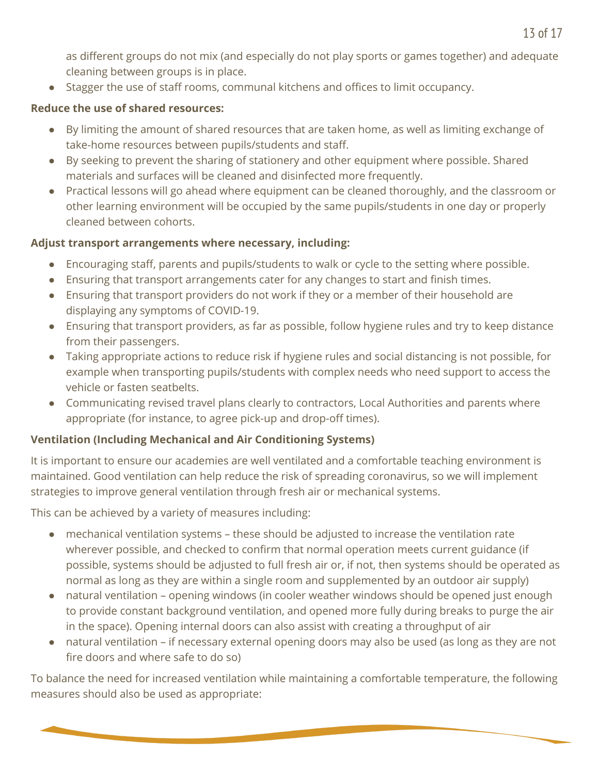as different groups do not mix (and especially do not play sports or games together) and adequate cleaning between groups is in place.

● Stagger the use of staff rooms, communal kitchens and offices to limit occupancy.

### **Reduce the use of shared resources:**

- By limiting the amount of shared resources that are taken home, as well as limiting exchange of take-home resources between pupils/students and staff.
- By seeking to prevent the sharing of stationery and other equipment where possible. Shared materials and surfaces will be cleaned and disinfected more frequently.
- Practical lessons will go ahead where equipment can be cleaned thoroughly, and the classroom or other learning environment will be occupied by the same pupils/students in one day or properly cleaned between cohorts.

### **Adjust transport arrangements where necessary, including:**

- Encouraging staff, parents and pupils/students to walk or cycle to the setting where possible.
- Ensuring that transport arrangements cater for any changes to start and finish times.
- Ensuring that transport providers do not work if they or a member of their household are displaying any symptoms of COVID-19.
- Ensuring that transport providers, as far as possible, follow hygiene rules and try to keep distance from their passengers.
- Taking appropriate actions to reduce risk if hygiene rules and social distancing is not possible, for example when transporting pupils/students with complex needs who need support to access the vehicle or fasten seatbelts.
- Communicating revised travel plans clearly to contractors, Local Authorities and parents where appropriate (for instance, to agree pick-up and drop-off times).

### **Ventilation (Including Mechanical and Air Conditioning Systems)**

It is important to ensure our academies are well ventilated and a comfortable teaching environment is maintained. Good ventilation can help reduce the risk of spreading coronavirus, so we will implement strategies to improve general ventilation through fresh air or mechanical systems.

This can be achieved by a variety of measures including:

- mechanical ventilation systems these should be adjusted to increase the ventilation rate wherever possible, and checked to confirm that normal operation meets current guidance (if possible, systems should be adjusted to full fresh air or, if not, then systems should be operated as normal as long as they are within a single room and supplemented by an outdoor air supply)
- natural ventilation opening windows (in cooler weather windows should be opened just enough to provide constant background ventilation, and opened more fully during breaks to purge the air in the space). Opening internal doors can also assist with creating a throughput of air
- natural ventilation if necessary external opening doors may also be used (as long as they are not fire doors and where safe to do so)

To balance the need for increased ventilation while maintaining a comfortable temperature, the following measures should also be used as appropriate: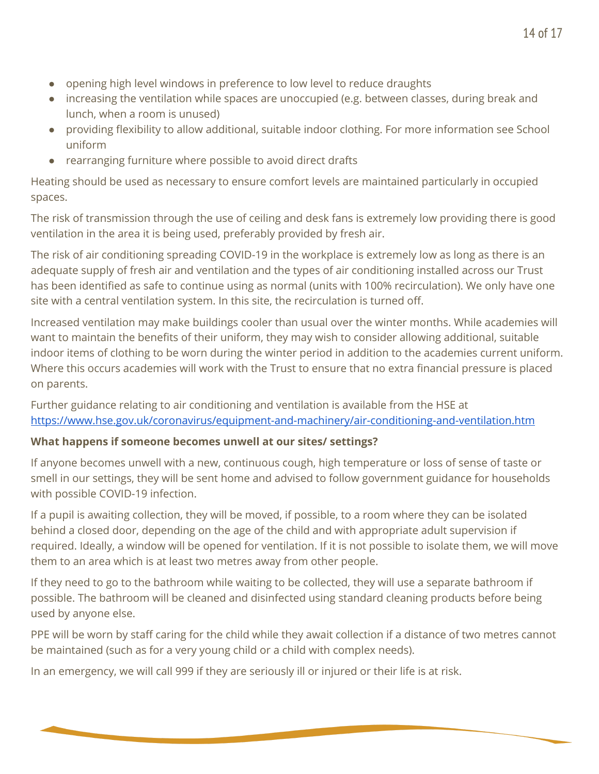- opening high level windows in preference to low level to reduce draughts
- increasing the ventilation while spaces are unoccupied (e.g. between classes, during break and lunch, when a room is unused)
- providing flexibility to allow additional, suitable indoor clothing. For more information see School uniform
- rearranging furniture where possible to avoid direct drafts

Heating should be used as necessary to ensure comfort levels are maintained particularly in occupied spaces.

The risk of transmission through the use of ceiling and desk fans is extremely low providing there is good ventilation in the area it is being used, preferably provided by fresh air.

The risk of air conditioning spreading COVID-19 in the workplace is extremely low as long as there is an adequate supply of fresh air and ventilation and the types of air conditioning installed across our Trust has been identified as safe to continue using as normal (units with 100% recirculation). We only have one site with a central ventilation system. In this site, the recirculation is turned off.

Increased ventilation may make buildings cooler than usual over the winter months. While academies will want to maintain the benefits of their uniform, they may wish to consider allowing additional, suitable indoor items of clothing to be worn during the winter period in addition to the academies current uniform. Where this occurs academies will work with the Trust to ensure that no extra financial pressure is placed on parents.

Further guidance relating to air conditioning and ventilation is available from the HSE at <https://www.hse.gov.uk/coronavirus/equipment-and-machinery/air-conditioning-and-ventilation.htm>

### **What happens if someone becomes unwell at our sites/ settings?**

If anyone becomes unwell with a new, continuous cough, high temperature or loss of sense of taste or smell in our settings, they will be sent home and advised to follow government guidance for households with possible COVID-19 infection.

If a pupil is awaiting collection, they will be moved, if possible, to a room where they can be isolated behind a closed door, depending on the age of the child and with appropriate adult supervision if required. Ideally, a window will be opened for ventilation. If it is not possible to isolate them, we will move them to an area which is at least two metres away from other people.

If they need to go to the bathroom while waiting to be collected, they will use a separate bathroom if possible. The bathroom will be cleaned and disinfected using standard cleaning products before being used by anyone else.

PPE will be worn by staff caring for the child while they await collection if a distance of two metres cannot be maintained (such as for a very young child or a child with complex needs).

In an emergency, we will call 999 if they are seriously ill or injured or their life is at risk.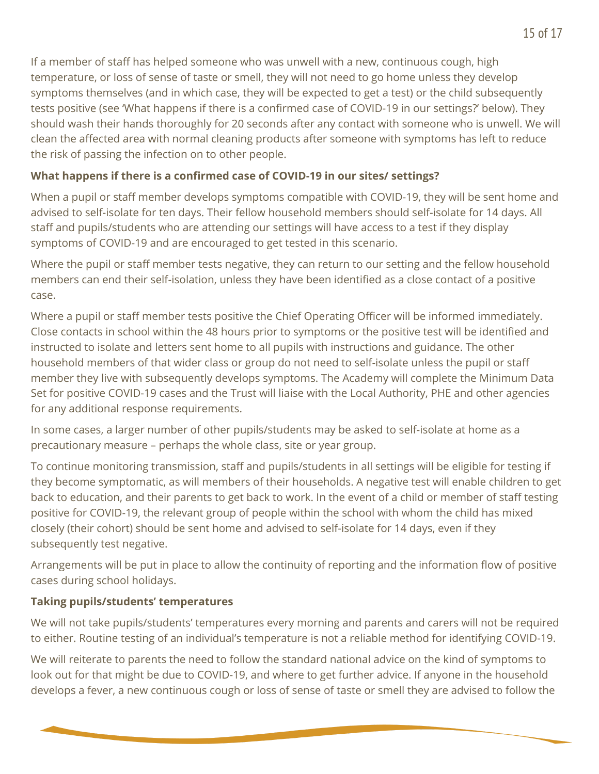If a member of staff has helped someone who was unwell with a new, continuous cough, high temperature, or loss of sense of taste or smell, they will not need to go home unless they develop symptoms themselves (and in which case, they will be expected to get a test) or the child subsequently tests positive (see 'What happens if there is a confirmed case of COVID-19 in our settings?' below). They should wash their hands thoroughly for 20 seconds after any contact with someone who is unwell. We will clean the affected area with normal cleaning products after someone with symptoms has left to reduce the risk of passing the infection on to other people.

### **What happens if there is a confirmed case of COVID-19 in our sites/ settings?**

When a pupil or staff member develops symptoms compatible with COVID-19, they will be sent home and advised to self-isolate for ten days. Their fellow household members should self-isolate for 14 days. All staff and pupils/students who are attending our settings will have access to a test if they display symptoms of COVID-19 and are encouraged to get tested in this scenario.

Where the pupil or staff member tests negative, they can return to our setting and the fellow household members can end their self-isolation, unless they have been identified as a close contact of a positive case.

Where a pupil or staff member tests positive the Chief Operating Officer will be informed immediately. Close contacts in school within the 48 hours prior to symptoms or the positive test will be identified and instructed to isolate and letters sent home to all pupils with instructions and guidance. The other household members of that wider class or group do not need to self-isolate unless the pupil or staff member they live with subsequently develops symptoms. The Academy will complete the Minimum Data Set for positive COVID-19 cases and the Trust will liaise with the Local Authority, PHE and other agencies for any additional response requirements.

In some cases, a larger number of other pupils/students may be asked to self-isolate at home as a precautionary measure – perhaps the whole class, site or year group.

To continue monitoring transmission, staff and pupils/students in all settings will be eligible for testing if they become symptomatic, as will members of their households. A negative test will enable children to get back to education, and their parents to get back to work. In the event of a child or member of staff testing positive for COVID-19, the relevant group of people within the school with whom the child has mixed closely (their cohort) should be sent home and advised to self-isolate for 14 days, even if they subsequently test negative.

Arrangements will be put in place to allow the continuity of reporting and the information flow of positive cases during school holidays.

### **Taking pupils/students' temperatures**

We will not take pupils/students' temperatures every morning and parents and carers will not be required to either. Routine testing of an individual's temperature is not a reliable method for identifying COVID-19.

We will reiterate to parents the need to follow the standard national advice on the kind of symptoms to look out for that might be due to COVID-19, and where to get further advice. If anyone in the household develops a fever, a new continuous cough or loss of sense of taste or smell they are advised to follow the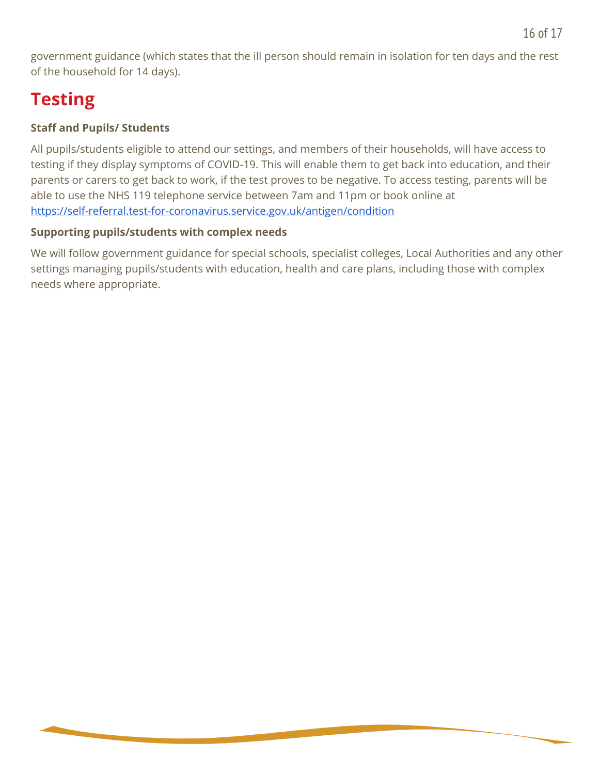government guidance (which states that the ill person should remain in isolation for ten days and the rest of the household for 14 days).

## **Testing**

### **Staff and Pupils/ Students**

All pupils/students eligible to attend our settings, and members of their households, will have access to testing if they display symptoms of COVID-19. This will enable them to get back into education, and their parents or carers to get back to work, if the test proves to be negative. To access testing, parents will be able to use the NHS 119 telephone service between 7am and 11pm or book online at <https://self-referral.test-for-coronavirus.service.gov.uk/antigen/condition>

### **Supporting pupils/students with complex needs**

We will follow government guidance for special schools, specialist colleges, Local Authorities and any other settings managing pupils/students with education, health and care plans, including those with complex needs where appropriate.